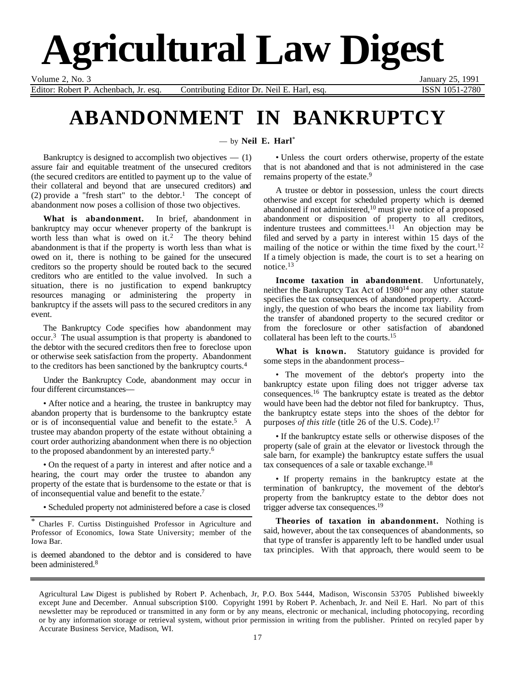# **Agricultural Law Digest**

Volume 2, No. 3 January 25, 1991

Editor: Robert P. Achenbach, Jr. esq. Contributing Editor Dr. Neil E. Harl, esq. ISSN 1051-2780

## **ABANDONMENT IN BANKRUPTCY**

— by **Neil E. Harl**\*

Bankruptcy is designed to accomplish two objectives  $-$  (1) assure fair and equitable treatment of the unsecured creditors (the secured creditors are entitled to payment up to the value of their collateral and beyond that are unsecured creditors) and (2) provide a "fresh start" to the debtor.<sup>1</sup> The concept of abandonment now poses a collision of those two objectives.

**What is abandonment.** In brief, abandonment in bankruptcy may occur whenever property of the bankrupt is worth less than what is owed on it.<sup>2</sup> The theory behind abandonment is that if the property is worth less than what is owed on it, there is nothing to be gained for the unsecured creditors so the property should be routed back to the secured creditors who are entitled to the value involved. In such a situation, there is no justification to expend bankruptcy resources managing or administering the property in bankruptcy if the assets will pass to the secured creditors in any event.

The Bankruptcy Code specifies how abandonment may occur.3 The usual assumption is that property is abandoned to the debtor with the secured creditors then free to foreclose upon or otherwise seek satisfaction from the property. Abandonment to the creditors has been sanctioned by the bankruptcy courts.4

Under the Bankruptcy Code, abandonment may occur in four different circumstances—

• After notice and a hearing, the trustee in bankruptcy may abandon property that is burdensome to the bankruptcy estate or is of inconsequential value and benefit to the estate.5 A trustee may abandon property of the estate without obtaining a court order authorizing abandonment when there is no objection to the proposed abandonment by an interested party.6

• On the request of a party in interest and after notice and a hearing, the court may order the trustee to abandon any property of the estate that is burdensome to the estate or that is of inconsequential value and benefit to the estate.7

• Scheduled property not administered before a case is closed

\* Charles F. Curtiss Distinguished Professor in Agriculture and Professor of Economics, Iowa State University; member of the Iowa Bar.

is deemed abandoned to the debtor and is considered to have been administered.8

• Unless the court orders otherwise, property of the estate that is not abandoned and that is not administered in the case remains property of the estate.<sup>9</sup>

A trustee or debtor in possession, unless the court directs otherwise and except for scheduled property which is deemed abandoned if not administered,<sup>10</sup> must give notice of a proposed abandonment or disposition of property to all creditors, indenture trustees and committees.<sup>11</sup> An objection may be filed and served by a party in interest within 15 days of the mailing of the notice or within the time fixed by the court.<sup>12</sup> If a timely objection is made, the court is to set a hearing on notice.13

**Income taxation in abandonment**. Unfortunately, neither the Bankruptcy Tax Act of 1980<sup>14</sup> nor any other statute specifies the tax consequences of abandoned property. Accordingly, the question of who bears the income tax liability from the transfer of abandoned property to the secured creditor or from the foreclosure or other satisfaction of abandoned collateral has been left to the courts.15

**What is known.** Statutory guidance is provided for some steps in the abandonment process–

• The movement of the debtor's property into the bankruptcy estate upon filing does not trigger adverse tax consequences.16 The bankruptcy estate is treated as the debtor would have been had the debtor not filed for bankruptcy. Thus, the bankruptcy estate steps into the shoes of the debtor for purposes *of this title* (title 26 of the U.S. Code).<sup>17</sup>

• If the bankruptcy estate sells or otherwise disposes of the property (sale of grain at the elevator or livestock through the sale barn, for example) the bankruptcy estate suffers the usual tax consequences of a sale or taxable exchange.18

• If property remains in the bankruptcy estate at the termination of bankruptcy, the movement of the debtor's property from the bankruptcy estate to the debtor does not trigger adverse tax consequences.19

**Theories of taxation in abandonment.** Nothing is said, however, about the tax consequences of abandonments, so that type of transfer is apparently left to be handled under usual tax principles. With that approach, there would seem to be

Agricultural Law Digest is published by Robert P. Achenbach, Jr, P.O. Box 5444, Madison, Wisconsin 53705 Published biweekly except June and December. Annual subscription \$100. Copyright 1991 by Robert P. Achenbach, Jr. and Neil E. Harl. No part of this newsletter may be reproduced or transmitted in any form or by any means, electronic or mechanical, including photocopying, recording or by any information storage or retrieval system, without prior permission in writing from the publisher. Printed on recyled paper by Accurate Business Service, Madison, WI.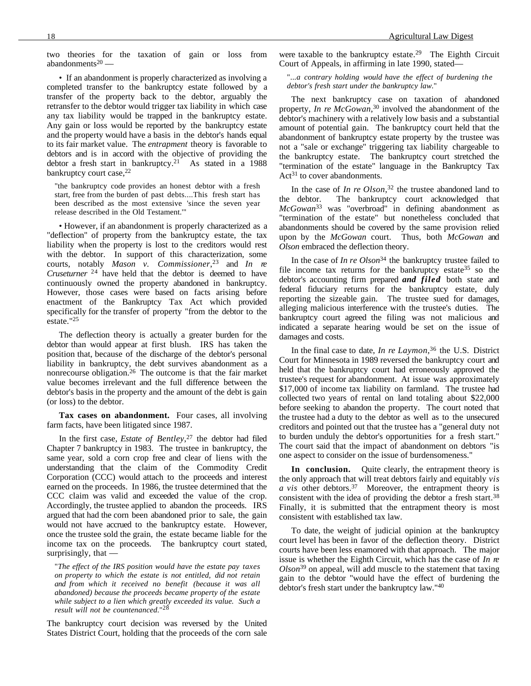two theories for the taxation of gain or loss from abandonments<sup>20</sup> $-$ 

• If an abandonment is properly characterized as involving a completed transfer to the bankruptcy estate followed by a transfer of the property back to the debtor, arguably the retransfer to the debtor would trigger tax liability in which case any tax liability would be trapped in the bankruptcy estate. Any gain or loss would be reported by the bankruptcy estate and the property would have a basis in the debtor's hands equal to its fair market value. The *entrapment* theory is favorable to debtors and is in accord with the objective of providing the debtor a fresh start in bankruptcy.<sup>21</sup> As stated in a  $1988$ bankruptcy court case, <sup>22</sup>

"the bankruptcy code provides an honest debtor with a fresh start, free from the burden of past debts....This fresh start has been described as the most extensive 'since the seven year release described in the Old Testament.'"

• However, if an abandonment is properly characterized as a "deflection" of property from the bankruptcy estate, the tax liability when the property is lost to the creditors would rest with the debtor. In support of this characterization, some courts, notably *Mason v. Commissioner*, 23 and *In re Cruseturner*<sup>24</sup> have held that the debtor is deemed to have continuously owned the property abandoned in bankruptcy. However, those cases were based on facts arising before enactment of the Bankruptcy Tax Act which provided specifically for the transfer of property "from the debtor to the estate."25

The deflection theory is actually a greater burden for the debtor than would appear at first blush. IRS has taken the position that, because of the discharge of the debtor's personal liability in bankruptcy, the debt survives abandonment as a nonrecourse obligation.26 The outcome is that the fair market value becomes irrelevant and the full difference between the debtor's basis in the property and the amount of the debt is gain (or loss) to the debtor.

**Tax cases on abandonment.** Four cases, all involving farm facts, have been litigated since 1987.

In the first case, *Estate of Bentley*, 27 the debtor had filed Chapter 7 bankruptcy in 1983. The trustee in bankruptcy, the same year, sold a corn crop free and clear of liens with the understanding that the claim of the Commodity Credit Corporation (CCC) would attach to the proceeds and interest earned on the proceeds. In 1986, the trustee determined that the CCC claim was valid and exceeded the value of the crop. Accordingly, the trustee applied to abandon the proceeds. IRS argued that had the corn been abandoned prior to sale, the gain would not have accrued to the bankruptcy estate. However, once the trustee sold the grain, the estate became liable for the income tax on the proceeds. The bankruptcy court stated, surprisingly, that —

"*The effect of the IRS position would have the estate pay taxes on property to which the estate is not entitled, did not retain and from which it received no benefit (because it was all abandoned) because the proceeds became property of the estate while subject to a lien which greatly exceeded its value. Such a result will not be countenanced*."<sup>28</sup>

The bankruptcy court decision was reversed by the United States District Court, holding that the proceeds of the corn sale were taxable to the bankruptcy estate.<sup>29</sup> The Eighth Circuit Court of Appeals, in affirming in late 1990, stated—

"*...a contrary holding would have the effect of burdening the debtor's fresh start under the bankruptcy law.*"

The next bankruptcy case on taxation of abandoned property, *In re McGowan*, 30 involved the abandonment of the debtor's machinery with a relatively low basis and a substantial amount of potential gain. The bankruptcy court held that the abandonment of bankruptcy estate property by the trustee was not a "sale or exchange" triggering tax liability chargeable to the bankruptcy estate. The bankruptcy court stretched the "termination of the estate" language in the Bankruptcy Tax  $Act^{31}$  to cover abandonments.

In the case of *In re Olson*, 32 the trustee abandoned land to the debtor. The bankruptcy court acknowledged that *McGowan*33 was "overbroad" in defining abandonment as "termination of the estate" but nonetheless concluded that abandonments should be covered by the same provision relied upon by the *McGowan* court. Thus, both *McGowan* and *Olson* embraced the deflection theory.

In the case of *In re Olson*<sup>34</sup> the bankruptcy trustee failed to file income tax returns for the bankruptcy estate  $35$  so the debtor's accounting firm prepared *and filed* both state and federal fiduciary returns for the bankruptcy estate, duly reporting the sizeable gain. The trustee sued for damages, alleging malicious interference with the trustee's duties. The bankruptcy court agreed the filing was not malicious and indicated a separate hearing would be set on the issue of damages and costs.

In the final case to date, *In re Laymon*, 36 the U.S. District Court for Minnesota in 1989 reversed the bankruptcy court and held that the bankruptcy court had erroneously approved the trustee's request for abandonment. At issue was approximately \$17,000 of income tax liability on farmland. The trustee had collected two years of rental on land totaling about \$22,000 before seeking to abandon the property. The court noted that the trustee had a duty to the debtor as well as to the unsecured creditors and pointed out that the trustee has a "general duty not to burden unduly the debtor's opportunities for a fresh start." The court said that the impact of abandonment on debtors "is one aspect to consider on the issue of burdensomeness."

**In conclusion.** Quite clearly, the entrapment theory is the only approach that will treat debtors fairly and equitably *vis a vis* other debtors.37 Moreover, the entrapment theory is consistent with the idea of providing the debtor a fresh start.38 Finally, it is submitted that the entrapment theory is most consistent with established tax law.

To date, the weight of judicial opinion at the bankruptcy court level has been in favor of the deflection theory. District courts have been less enamored with that approach. The major issue is whether the Eighth Circuit, which has the case of *In re Olson*39 on appeal, will add muscle to the statement that taxing gain to the debtor "would have the effect of burdening the debtor's fresh start under the bankruptcy law."40